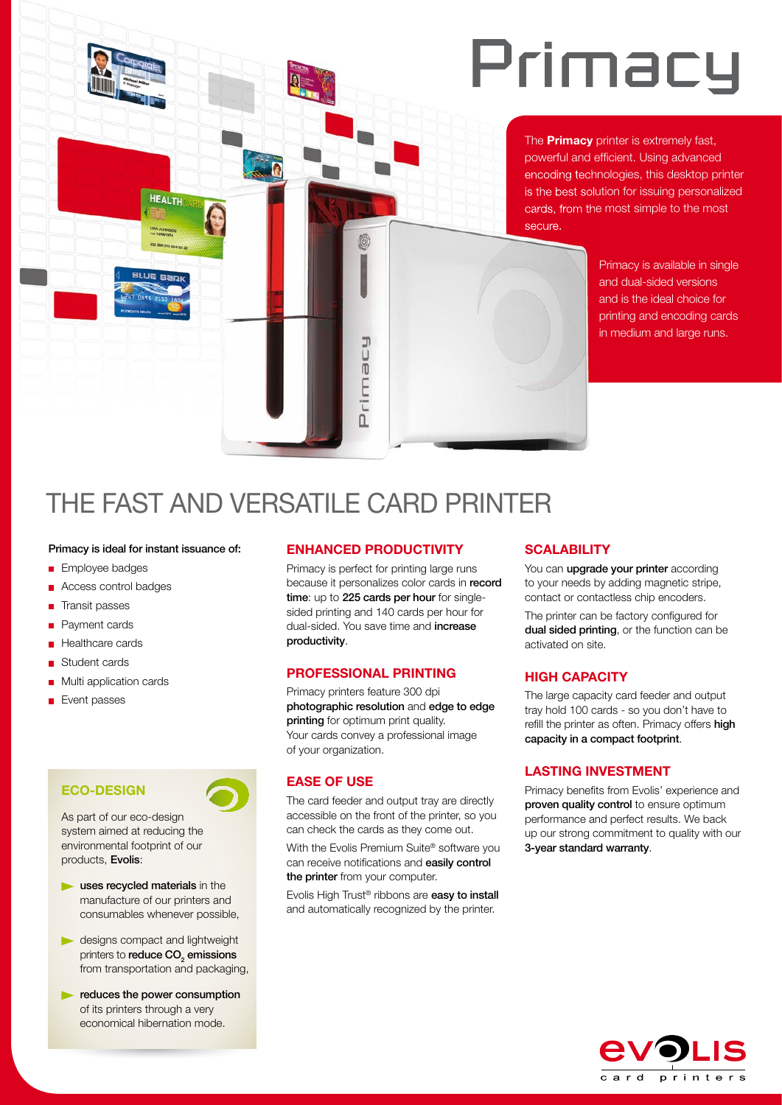## Primacy

The **Primacy** printer is extremely fast, powerful and efficient. Using advanced encoding technologies, this desktop printer is the best solution for issuing personalized cards, from the most simple to the most secure.

> Primacy is available in single and dual-sided versions and is the ideal choice for printing and encoding cards in medium and large runs.

### THE FAST AND VERSATILE CARD PRINTER

#### Primacy is ideal for instant issuance of:

HEALTH

LISA JOHNSON

- **Employee badges**
- Access control badges
- **Transit passes**
- Payment cards
- Healthcare cards
- Student cards
- **Multi application cards**
- **Event passes**

### **ECO-DESIGN**

As part of our eco-design system aimed at reducing the environmental footprint of our products, Evolis:

- uses recycled materials in the manufacture of our printers and consumables whenever possible,
- **designs compact and lightweight** printers to **reduce CO** $_{2}$  **emissions** from transportation and packaging,
- reduces the power consumption of its printers through a very economical hibernation mode.

#### **ENHANCED PRODUCTIVITY**

J

Primac

Primacy is perfect for printing large runs because it personalizes color cards in record time: up to 225 cards per hour for singlesided printing and 140 cards per hour for dual-sided. You save time and **increase** productivity.

#### **PROFESSIONAL PRINTING**

Primacy printers feature 300 dpi photographic resolution and edge to edge printing for optimum print quality. Your cards convey a professional image of your organization.

#### **EASE OF USE**

The card feeder and output tray are directly accessible on the front of the printer, so you can check the cards as they come out.

With the Evolis Premium Suite® software you can receive notifications and easily control the printer from your computer.

Evolis High Trust® ribbons are easy to install and automatically recognized by the printer.

#### **SCALABILITY**

You can **upgrade your printer** according to your needs by adding magnetic stripe, contact or contactless chip encoders.

The printer can be factory configured for dual sided printing, or the function can be activated on site.

#### **HIGH CAPACITY**

The large capacity card feeder and output tray hold 100 cards - so you don't have to refill the printer as often. Primacy offers high capacity in a compact footprint.

#### **LASTING INVESTMENT**

Primacy benefits from Evolis' experience and proven quality control to ensure optimum performance and perfect results. We back up our strong commitment to quality with our 3-year standard warranty.